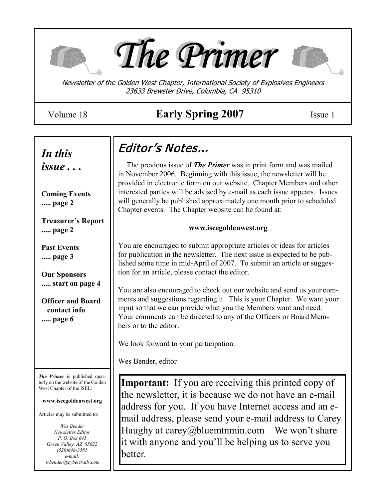





Newsletter of the Golden West Chapter, International Society of Explosives Engineers 23633 Brewster Drive, Columbia, CA 95310

# Volume 18 **Early Spring 2007** Issue 1

*issue . . .*

**Coming Events ..... page 2**

**Treasurer's Report ..... page 2**

**Past Events ..... page 3**

**Our Sponsors ..... start on page 4**

**Officer and Board contact info ..... page 6**

*The Primer* is published quarterly on the website of the Golden West Chapter of the ISEE:

**www.iseegoldenwest.org**

Articles may be submitted to:

*Wes Bender Newsletter Editor P. O. Box 645 Green Valley, AZ 85622 (520)648-3581 e-mail: wbender@cybertrails.com*

# Editor's Notes... *In this*

 The previous issue of *The Primer* was in print form and was mailed in November 2006. Beginning with this issue, the newsletter will be provided in electronic form on our website. Chapter Members and other interested parties will be advised by e-mail as each issue appears. Issues will generally be published approximately one month prior to scheduled Chapter events. The Chapter website can be found at:

#### **www.iseegoldenwest.org**

You are encouraged to submit appropriate articles or ideas for articles for publication in the newsletter. The next issue is expected to be published some time in mid-April of 2007. To submit an article or suggestion for an article, please contact the editor.

You are also encouraged to check out our website and send us your comments and suggestions regarding it. This is your Chapter. We want your input so that we can provide what you the Members want and need. Your comments can be directed to any of the Officers or Board Members or to the editor.

We look forward to your participation.

Wes Bender, editor

**Important:** If you are receiving this printed copy of the newsletter, it is because we do not have an e-mail address for you. If you have Internet access and an email address, please send your e-mail address to Carey Haughy at carey@bluemtnmin.com We won't share it with anyone and you'll be helping us to serve you better.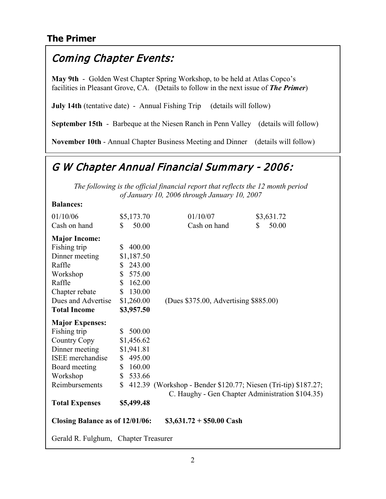# **The Primer**

# Coming Chapter Events:

**May 9th** - Golden West Chapter Spring Workshop, to be held at Atlas Copco's facilities in Pleasant Grove, CA. (Details to follow in the next issue of *The Primer*)

**July 14th** (tentative date) - Annual Fishing Trip (details will follow)

**September 15th** - Barbeque at the Niesen Ranch in Penn Valley (details will follow)

**November 10th** - Annual Chapter Business Meeting and Dinner (details will follow)

# G W Chapter Annual Financial Summary - 2006:

*The following is the official financial report that reflects the 12 month period of January 10, 2006 through January 10, 2007*

#### **Balances:**

| 01/10/06                                                     | \$5,173.70               | 01/10/07                                                                                                           | \$3,631.72  |  |
|--------------------------------------------------------------|--------------------------|--------------------------------------------------------------------------------------------------------------------|-------------|--|
| Cash on hand                                                 | 50.00<br>S.              | Cash on hand                                                                                                       | 50.00<br>S. |  |
| <b>Major Income:</b>                                         |                          |                                                                                                                    |             |  |
| Fishing trip                                                 | 400.00<br>S.             |                                                                                                                    |             |  |
| Dinner meeting                                               | \$1,187.50               |                                                                                                                    |             |  |
| Raffle                                                       | \$243.00                 |                                                                                                                    |             |  |
| Workshop                                                     | 575.00<br>$\mathbb{S}^-$ |                                                                                                                    |             |  |
| Raffle                                                       | \$<br>162.00             |                                                                                                                    |             |  |
| Chapter rebate                                               | 130.00<br>S.             |                                                                                                                    |             |  |
| Dues and Advertise                                           | \$1,260.00               | (Dues \$375.00, Advertising \$885.00)                                                                              |             |  |
| <b>Total Income</b>                                          | \$3,957.50               |                                                                                                                    |             |  |
| <b>Major Expenses:</b>                                       |                          |                                                                                                                    |             |  |
| Fishing trip                                                 | \$500.00                 |                                                                                                                    |             |  |
| Country Copy                                                 | \$1,456.62               |                                                                                                                    |             |  |
| Dinner meeting                                               | \$1,941.81               |                                                                                                                    |             |  |
| <b>ISEE</b> merchandise                                      | \$495.00                 |                                                                                                                    |             |  |
| Board meeting                                                | 160.00<br>\$             |                                                                                                                    |             |  |
| Workshop                                                     | \$533.66                 |                                                                                                                    |             |  |
| Reimbursements                                               | $\mathbb{S}$             | 412.39 (Workshop - Bender \$120.77; Niesen (Tri-tip) \$187.27;<br>C. Haughy - Gen Chapter Administration \$104.35) |             |  |
| <b>Total Expenses</b>                                        | \$5,499.48               |                                                                                                                    |             |  |
| Closing Balance as of 12/01/06:<br>$$3,631.72 + $50.00$ Cash |                          |                                                                                                                    |             |  |
| Gerald R. Fulghum, Chapter Treasurer                         |                          |                                                                                                                    |             |  |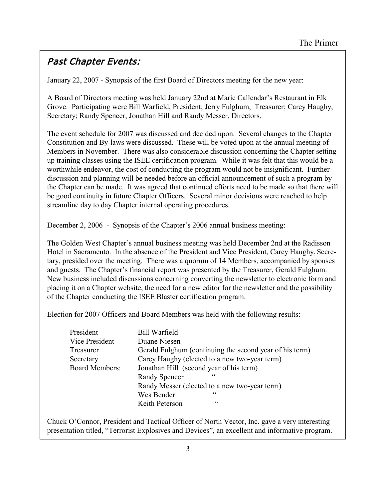# Past Chapter Events:

January 22, 2007 - Synopsis of the first Board of Directors meeting for the new year:

A Board of Directors meeting was held January 22nd at Marie Callendar's Restaurant in Elk Grove. Participating were Bill Warfield, President; Jerry Fulghum, Treasurer; Carey Haughy, Secretary; Randy Spencer, Jonathan Hill and Randy Messer, Directors.

The event schedule for 2007 was discussed and decided upon. Several changes to the Chapter Constitution and By-laws were discussed. These will be voted upon at the annual meeting of Members in November. There was also considerable discussion concerning the Chapter setting up training classes using the ISEE certification program. While it was felt that this would be a worthwhile endeavor, the cost of conducting the program would not be insignificant. Further discussion and planning will be needed before an official announcement of such a program by the Chapter can be made. It was agreed that continued efforts need to be made so that there will be good continuity in future Chapter Officers. Several minor decisions were reached to help streamline day to day Chapter internal operating procedures.

December 2, 2006 - Synopsis of the Chapter's 2006 annual business meeting:

The Golden West Chapter's annual business meeting was held December 2nd at the Radisson Hotel in Sacramento. In the absence of the President and Vice President, Carey Haughy, Secretary, presided over the meeting. There was a quorum of 14 Members, accompanied by spouses and guests. The Chapter's financial report was presented by the Treasurer, Gerald Fulghum. New business included discussions concerning converting the newsletter to electronic form and placing it on a Chapter website, the need for a new editor for the newsletter and the possibility of the Chapter conducting the ISEE Blaster certification program.

Election for 2007 Officers and Board Members was held with the following results:

| President             | <b>Bill Warfield</b>                                    |  |  |  |
|-----------------------|---------------------------------------------------------|--|--|--|
| Vice President        | Duane Niesen                                            |  |  |  |
| Treasurer             | Gerald Fulghum (continuing the second year of his term) |  |  |  |
| Secretary             | Carey Haughy (elected to a new two-year term)           |  |  |  |
| <b>Board Members:</b> | Jonathan Hill (second year of his term)                 |  |  |  |
|                       | $\epsilon$<br><b>Randy Spencer</b>                      |  |  |  |
|                       | Randy Messer (elected to a new two-year term)           |  |  |  |
|                       | $\epsilon$<br>Wes Bender                                |  |  |  |
|                       | cc<br>Keith Peterson                                    |  |  |  |

Chuck O'Connor, President and Tactical Officer of North Vector, Inc. gave a very interesting presentation titled, "Terrorist Explosives and Devices", an excellent and informative program.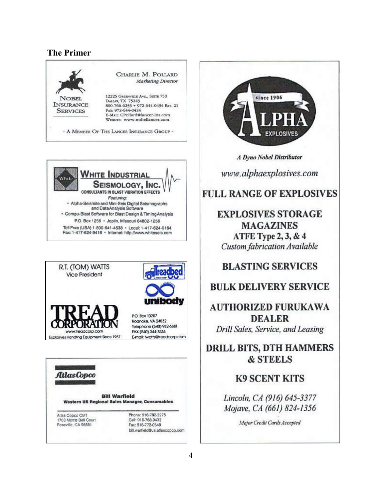#### **The Primer**











**A Dyno Nobel Distributor** 

www.alphaexplosives.com

## **FULL RANGE OF EXPLOSIVES**

## **EXPLOSIVES STORAGE MAGAZINES** ATFE Type 2, 3, & 4 **Custom fabrication Available**

### **BLASTING SERVICES**

### **BULK DELIVERY SERVICE**

**AUTHORIZED FURUKAWA DEALER** Drill Sales, Service, and Leasing

**DRILL BITS, DTH HAMMERS & STEELS** 

**K9 SCENT KITS** 

Lincoln, CA (916) 645-3377 Mojave, CA (661) 824-1356

Major Credit Cards Accepted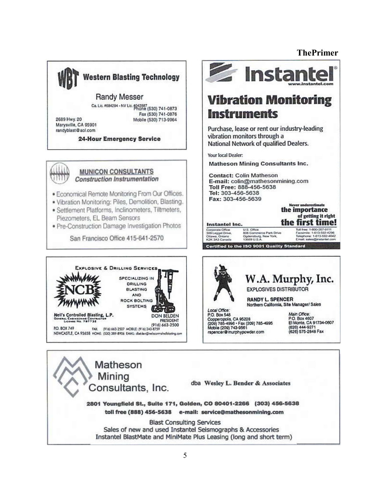#### **ThePrimer**



Matheson Mining dba Wesley L. Bender & Associates Consultants, Inc. 2801 Youngfield St., Suite 171, Golden, CO 80401-2266 (303) 456-5638 toll free (888) 456-5638 e-mail: service@mathesonmining.com **Blast Consulting Services** Sales of new and used Instantel Seismographs & Accessories Instantel BlastMate and MiniMate Plus Leasing (long and short term)